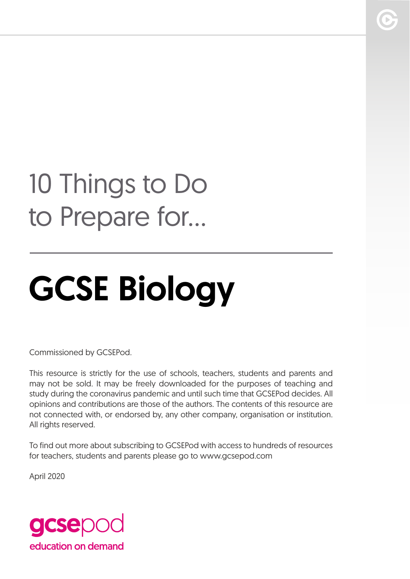## 10 Things to Do to Prepare for...

# GCSE Biology

Commissioned by GCSEPod.

This resource is strictly for the use of schools, teachers, students and parents and may not be sold. It may be freely downloaded for the purposes of teaching and study during the coronavirus pandemic and until such time that GCSEPod decides. All opinions and contributions are those of the authors. The contents of this resource are not connected with, or endorsed by, any other company, organisation or institution. All rights reserved.

To find out more about subscribing to GCSEPod with access to hundreds of resources for teachers, students and parents please go to www.gcsepod.com

April 2020

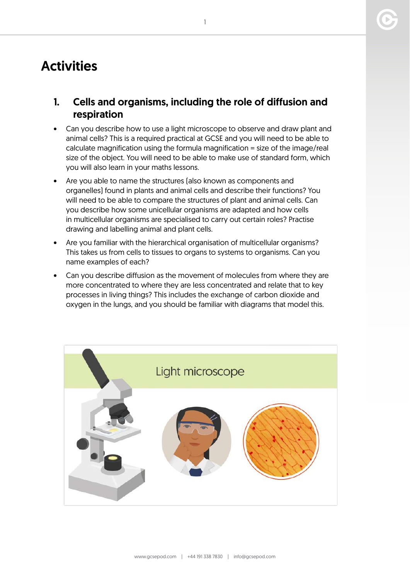

### **Activities**

- 1. Cells and organisms, including the role of diffusion and respiration
- Can you describe how to use a light microscope to observe and draw plant and animal cells? This is a required practical at GCSE and you will need to be able to calculate magnification using the formula magnification = size of the image/real size of the object. You will need to be able to make use of standard form, which you will also learn in your maths lessons.
- Are you able to name the structures (also known as components and organelles) found in plants and animal cells and describe their functions? You will need to be able to compare the structures of plant and animal cells. Can you describe how some unicellular organisms are adapted and how cells in multicellular organisms are specialised to carry out certain roles? Practise drawing and labelling animal and plant cells.
- Are you familiar with the hierarchical organisation of multicellular organisms? This takes us from cells to tissues to organs to systems to organisms. Can you name examples of each?
- Can you describe diffusion as the movement of molecules from where they are more concentrated to where they are less concentrated and relate that to key processes in living things? This includes the exchange of carbon dioxide and oxygen in the lungs, and you should be familiar with diagrams that model this.

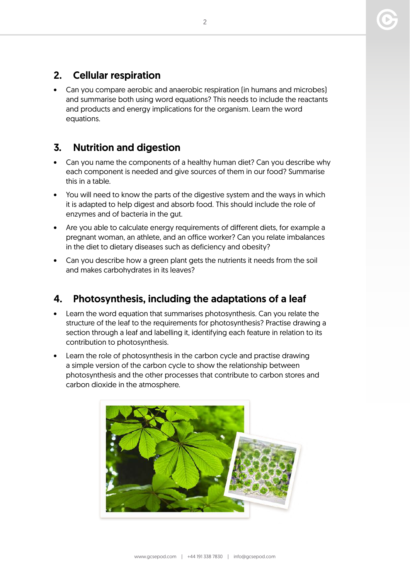#### 2. Cellular respiration

• Can you compare aerobic and anaerobic respiration (in humans and microbes) and summarise both using word equations? This needs to include the reactants and products and energy implications for the organism. Learn the word equations.

#### 3. Nutrition and digestion

- Can you name the components of a healthy human diet? Can you describe why each component is needed and give sources of them in our food? Summarise this in a table.
- You will need to know the parts of the digestive system and the ways in which it is adapted to help digest and absorb food. This should include the role of enzymes and of bacteria in the gut.
- Are you able to calculate energy requirements of different diets, for example a pregnant woman, an athlete, and an office worker? Can you relate imbalances in the diet to dietary diseases such as deficiency and obesity?
- Can you describe how a green plant gets the nutrients it needs from the soil and makes carbohydrates in its leaves?

#### 4. Photosynthesis, including the adaptations of a leaf

- Learn the word equation that summarises photosynthesis. Can you relate the structure of the leaf to the requirements for photosynthesis? Practise drawing a section through a leaf and labelling it, identifying each feature in relation to its contribution to photosynthesis.
- Learn the role of photosynthesis in the carbon cycle and practise drawing a simple version of the carbon cycle to show the relationship between photosynthesis and the other processes that contribute to carbon stores and carbon dioxide in the atmosphere.

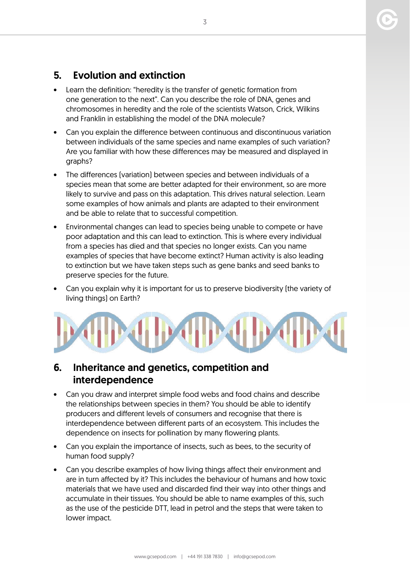#### 5. Evolution and extinction

- Learn the definition: "heredity is the transfer of genetic formation from one generation to the next". Can you describe the role of DNA, genes and chromosomes in heredity and the role of the scientists Watson, Crick, Wilkins and Franklin in establishing the model of the DNA molecule?
- Can you explain the difference between continuous and discontinuous variation between individuals of the same species and name examples of such variation? Are you familiar with how these differences may be measured and displayed in graphs?
- The differences (variation) between species and between individuals of a species mean that some are better adapted for their environment, so are more likely to survive and pass on this adaptation. This drives natural selection. Learn some examples of how animals and plants are adapted to their environment and be able to relate that to successful competition.
- Environmental changes can lead to species being unable to compete or have poor adaptation and this can lead to extinction. This is where every individual from a species has died and that species no longer exists. Can you name examples of species that have become extinct? Human activity is also leading to extinction but we have taken steps such as gene banks and seed banks to preserve species for the future.
- Can you explain why it is important for us to preserve biodiversity (the variety of living things) on Earth?



#### 6. Inheritance and genetics, competition and interdependence

- Can you draw and interpret simple food webs and food chains and describe the relationships between species in them? You should be able to identify producers and different levels of consumers and recognise that there is interdependence between different parts of an ecosystem. This includes the dependence on insects for pollination by many flowering plants.
- Can you explain the importance of insects, such as bees, to the security of human food supply?
- Can you describe examples of how living things affect their environment and are in turn affected by it? This includes the behaviour of humans and how toxic materials that we have used and discarded find their way into other things and accumulate in their tissues. You should be able to name examples of this, such as the use of the pesticide DTT, lead in petrol and the steps that were taken to lower impact.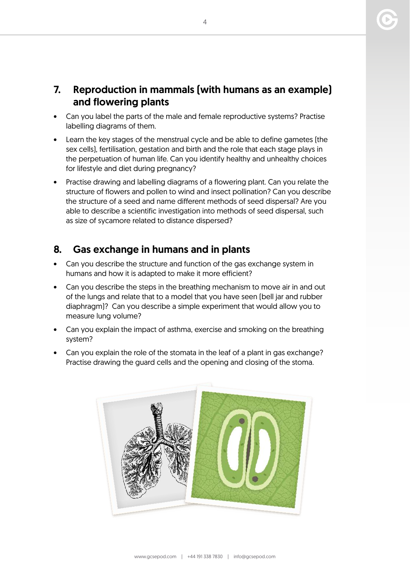#### 7. Reproduction in mammals (with humans as an example) and flowering plants

- Can you label the parts of the male and female reproductive systems? Practise labelling diagrams of them.
- Learn the key stages of the menstrual cycle and be able to define gametes (the sex cells), fertilisation, gestation and birth and the role that each stage plays in the perpetuation of human life. Can you identify healthy and unhealthy choices for lifestyle and diet during pregnancy?
- Practise drawing and labelling diagrams of a flowering plant. Can you relate the structure of flowers and pollen to wind and insect pollination? Can you describe the structure of a seed and name different methods of seed dispersal? Are you able to describe a scientific investigation into methods of seed dispersal, such as size of sycamore related to distance dispersed?

#### 8. Gas exchange in humans and in plants

- Can you describe the structure and function of the gas exchange system in humans and how it is adapted to make it more efficient?
- Can you describe the steps in the breathing mechanism to move air in and out of the lungs and relate that to a model that you have seen (bell jar and rubber diaphragm)? Can you describe a simple experiment that would allow you to measure lung volume?
- Can you explain the impact of asthma, exercise and smoking on the breathing system?
- Can you explain the role of the stomata in the leaf of a plant in gas exchange? Practise drawing the guard cells and the opening and closing of the stoma.



 $\Delta$